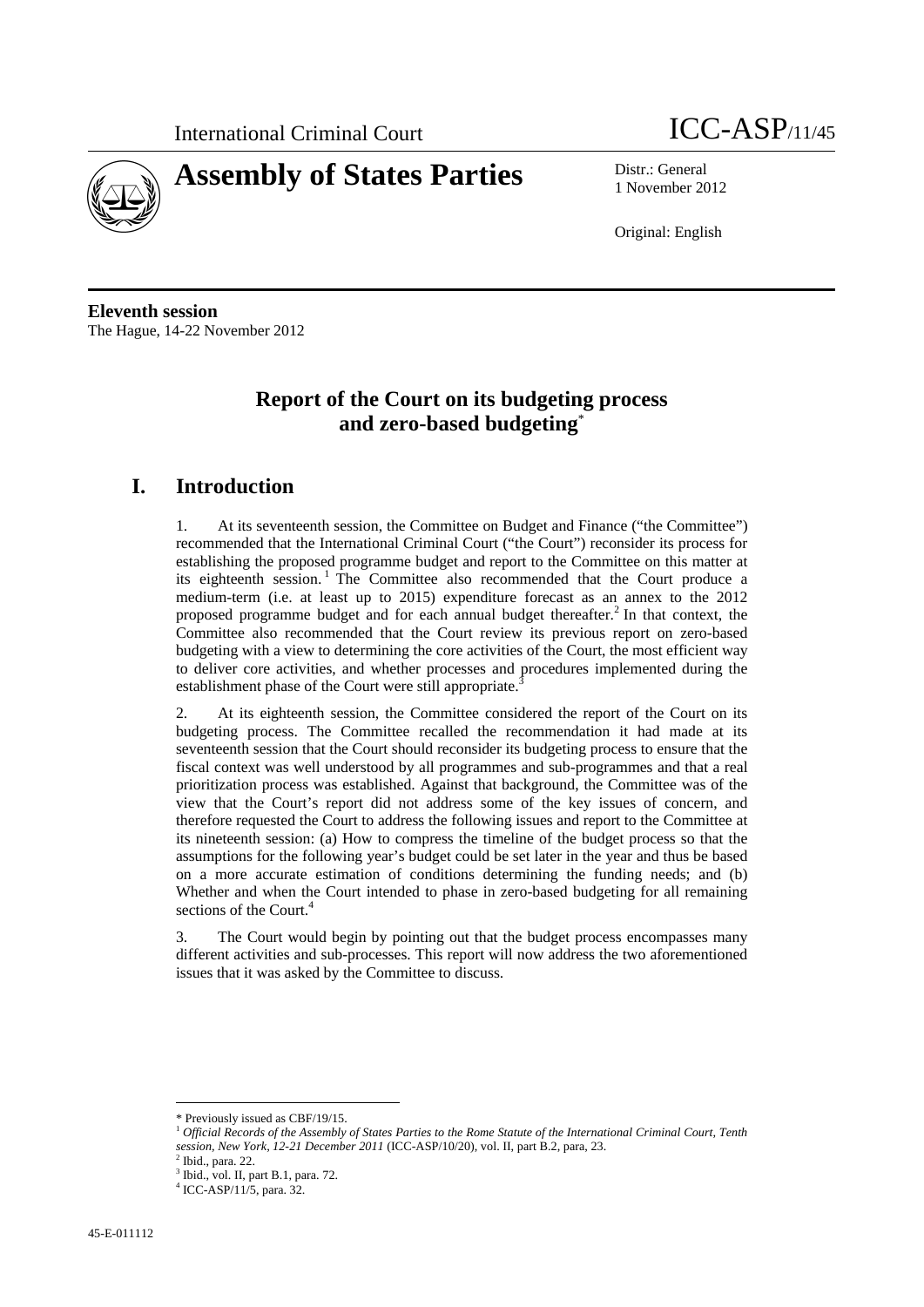



1 November 2012

Original: English

**Eleventh session**  The Hague, 14-22 November 2012

# **Report of the Court on its budgeting process and zero-based budgeting**\*

# **I. Introduction**

1. At its seventeenth session, the Committee on Budget and Finance ("the Committee") recommended that the International Criminal Court ("the Court") reconsider its process for establishing the proposed programme budget and report to the Committee on this matter at its eighteenth session.<sup>1</sup> The Committee also recommended that the Court produce a medium-term (i.e. at least up to 2015) expenditure forecast as an annex to the 2012 proposed programme budget and for each annual budget thereafter.<sup>2</sup> In that context, the Committee also recommended that the Court review its previous report on zero-based budgeting with a view to determining the core activities of the Court, the most efficient way to deliver core activities, and whether processes and procedures implemented during the establishment phase of the Court were still appropriate.

2. At its eighteenth session, the Committee considered the report of the Court on its budgeting process. The Committee recalled the recommendation it had made at its seventeenth session that the Court should reconsider its budgeting process to ensure that the fiscal context was well understood by all programmes and sub-programmes and that a real prioritization process was established. Against that background, the Committee was of the view that the Court's report did not address some of the key issues of concern, and therefore requested the Court to address the following issues and report to the Committee at its nineteenth session: (a) How to compress the timeline of the budget process so that the assumptions for the following year's budget could be set later in the year and thus be based on a more accurate estimation of conditions determining the funding needs; and (b) Whether and when the Court intended to phase in zero-based budgeting for all remaining sections of the Court.<sup>4</sup>

3. The Court would begin by pointing out that the budget process encompasses many different activities and sub-processes. This report will now address the two aforementioned issues that it was asked by the Committee to discuss.

 $\overline{a}$ \* Previously issued as CBF/19/15.

<sup>&</sup>lt;sup>1</sup> Official Records of the Assembly of States Parties to the Rome Statute of the International Criminal Court, Tenth *session, New York, 12-21 December 2011* (ICC-ASP/10/20), vol. II, part B.2, para, 23. 2

 $2$  Ibid., para. 22.

<sup>3</sup> Ibid., vol. II, part B.1, para. 72.

<sup>4</sup> ICC-ASP/11/5, para. 32.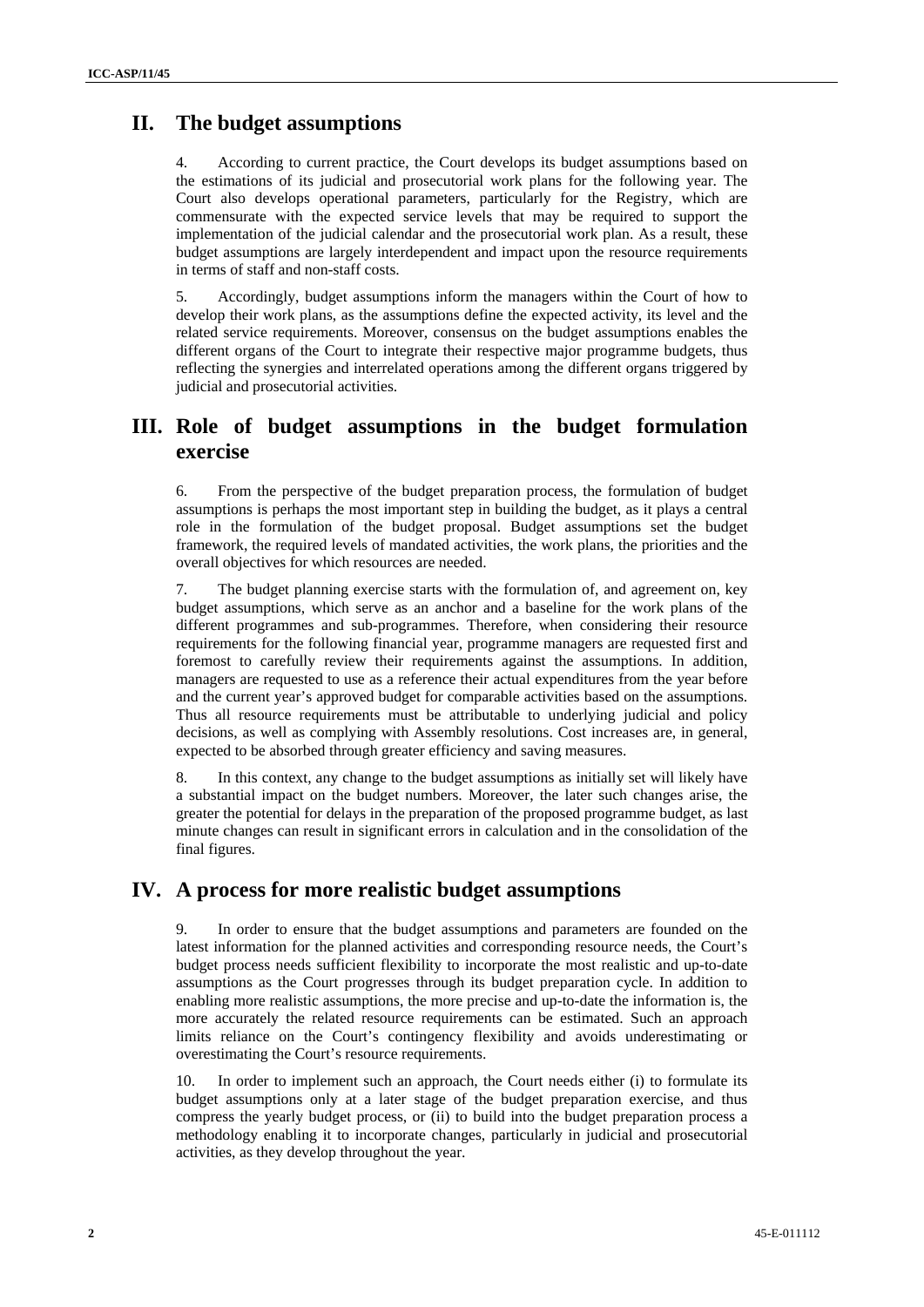## **II. The budget assumptions**

4. According to current practice, the Court develops its budget assumptions based on the estimations of its judicial and prosecutorial work plans for the following year. The Court also develops operational parameters, particularly for the Registry, which are commensurate with the expected service levels that may be required to support the implementation of the judicial calendar and the prosecutorial work plan. As a result, these budget assumptions are largely interdependent and impact upon the resource requirements in terms of staff and non-staff costs.

5. Accordingly, budget assumptions inform the managers within the Court of how to develop their work plans, as the assumptions define the expected activity, its level and the related service requirements. Moreover, consensus on the budget assumptions enables the different organs of the Court to integrate their respective major programme budgets, thus reflecting the synergies and interrelated operations among the different organs triggered by judicial and prosecutorial activities.

### **III. Role of budget assumptions in the budget formulation exercise**

6. From the perspective of the budget preparation process, the formulation of budget assumptions is perhaps the most important step in building the budget, as it plays a central role in the formulation of the budget proposal. Budget assumptions set the budget framework, the required levels of mandated activities, the work plans, the priorities and the overall objectives for which resources are needed.

7. The budget planning exercise starts with the formulation of, and agreement on, key budget assumptions, which serve as an anchor and a baseline for the work plans of the different programmes and sub-programmes. Therefore, when considering their resource requirements for the following financial year, programme managers are requested first and foremost to carefully review their requirements against the assumptions. In addition, managers are requested to use as a reference their actual expenditures from the year before and the current year's approved budget for comparable activities based on the assumptions. Thus all resource requirements must be attributable to underlying judicial and policy decisions, as well as complying with Assembly resolutions. Cost increases are, in general, expected to be absorbed through greater efficiency and saving measures.

8. In this context, any change to the budget assumptions as initially set will likely have a substantial impact on the budget numbers. Moreover, the later such changes arise, the greater the potential for delays in the preparation of the proposed programme budget, as last minute changes can result in significant errors in calculation and in the consolidation of the final figures.

#### **IV. A process for more realistic budget assumptions**

In order to ensure that the budget assumptions and parameters are founded on the latest information for the planned activities and corresponding resource needs, the Court's budget process needs sufficient flexibility to incorporate the most realistic and up-to-date assumptions as the Court progresses through its budget preparation cycle. In addition to enabling more realistic assumptions, the more precise and up-to-date the information is, the more accurately the related resource requirements can be estimated. Such an approach limits reliance on the Court's contingency flexibility and avoids underestimating or overestimating the Court's resource requirements.

10. In order to implement such an approach, the Court needs either (i) to formulate its budget assumptions only at a later stage of the budget preparation exercise, and thus compress the yearly budget process, or (ii) to build into the budget preparation process a methodology enabling it to incorporate changes, particularly in judicial and prosecutorial activities, as they develop throughout the year.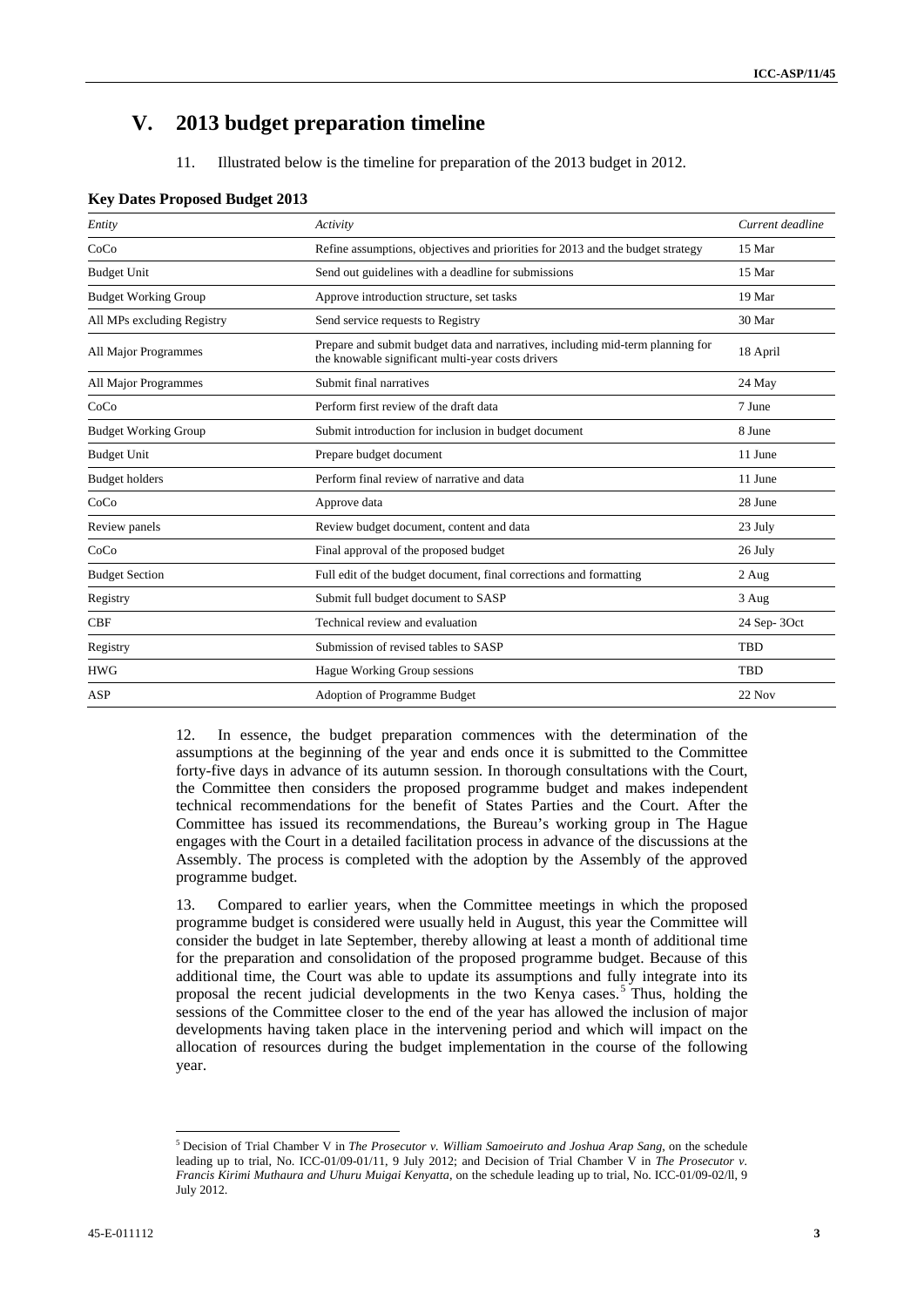# **V. 2013 budget preparation timeline**

11. Illustrated below is the timeline for preparation of the 2013 budget in 2012.

| Entity                      | Activity                                                                                                                            | Current deadline |
|-----------------------------|-------------------------------------------------------------------------------------------------------------------------------------|------------------|
| CoCo                        | Refine assumptions, objectives and priorities for 2013 and the budget strategy                                                      | 15 Mar           |
| <b>Budget Unit</b>          | Send out guidelines with a deadline for submissions                                                                                 | 15 Mar           |
| <b>Budget Working Group</b> | Approve introduction structure, set tasks                                                                                           | 19 Mar           |
| All MPs excluding Registry  | Send service requests to Registry                                                                                                   | 30 Mar           |
| All Major Programmes        | Prepare and submit budget data and narratives, including mid-term planning for<br>the knowable significant multi-year costs drivers | 18 April         |
| All Major Programmes        | Submit final narratives                                                                                                             | 24 May           |
| CoCo                        | Perform first review of the draft data                                                                                              | 7 June           |
| <b>Budget Working Group</b> | Submit introduction for inclusion in budget document                                                                                | 8 June           |
| <b>Budget Unit</b>          | Prepare budget document                                                                                                             | 11 June          |
| <b>Budget holders</b>       | Perform final review of narrative and data                                                                                          | 11 June          |
| CoCo                        | Approve data                                                                                                                        | 28 June          |
| Review panels               | Review budget document, content and data                                                                                            | 23 July          |
| CoCo                        | Final approval of the proposed budget                                                                                               | 26 July          |
| <b>Budget Section</b>       | Full edit of the budget document, final corrections and formatting                                                                  | $2$ Aug          |
| Registry                    | Submit full budget document to SASP                                                                                                 | 3 Aug            |
| <b>CBF</b>                  | Technical review and evaluation                                                                                                     | 24 Sep-3Oct      |
| Registry                    | Submission of revised tables to SASP                                                                                                | TBD              |
| <b>HWG</b>                  | Hague Working Group sessions                                                                                                        | <b>TBD</b>       |
| <b>ASP</b>                  | Adoption of Programme Budget                                                                                                        | 22 Nov           |

#### **Key Dates Proposed Budget 2013**

12. In essence, the budget preparation commences with the determination of the assumptions at the beginning of the year and ends once it is submitted to the Committee forty-five days in advance of its autumn session. In thorough consultations with the Court, the Committee then considers the proposed programme budget and makes independent technical recommendations for the benefit of States Parties and the Court. After the Committee has issued its recommendations, the Bureau's working group in The Hague engages with the Court in a detailed facilitation process in advance of the discussions at the Assembly. The process is completed with the adoption by the Assembly of the approved programme budget.

13. Compared to earlier years, when the Committee meetings in which the proposed programme budget is considered were usually held in August, this year the Committee will consider the budget in late September, thereby allowing at least a month of additional time for the preparation and consolidation of the proposed programme budget. Because of this additional time, the Court was able to update its assumptions and fully integrate into its proposal the recent judicial developments in the two Kenya cases.<sup>5</sup> Thus, holding the sessions of the Committee closer to the end of the year has allowed the inclusion of major developments having taken place in the intervening period and which will impact on the allocation of resources during the budget implementation in the course of the following year.

 $\overline{a}$ 

<sup>5</sup> Decision of Trial Chamber V in *The Prosecutor v. William Samoeiruto and Joshua Arap Sang*, on the schedule leading up to trial, No. ICC-01/09-01/11, 9 July 2012; and Decision of Trial Chamber V in *The Prosecutor v. Francis Kirimi Muthaura and Uhuru Muigai Kenyatta*, on the schedule leading up to trial, No. ICC-01/09-02/ll, 9 July 2012.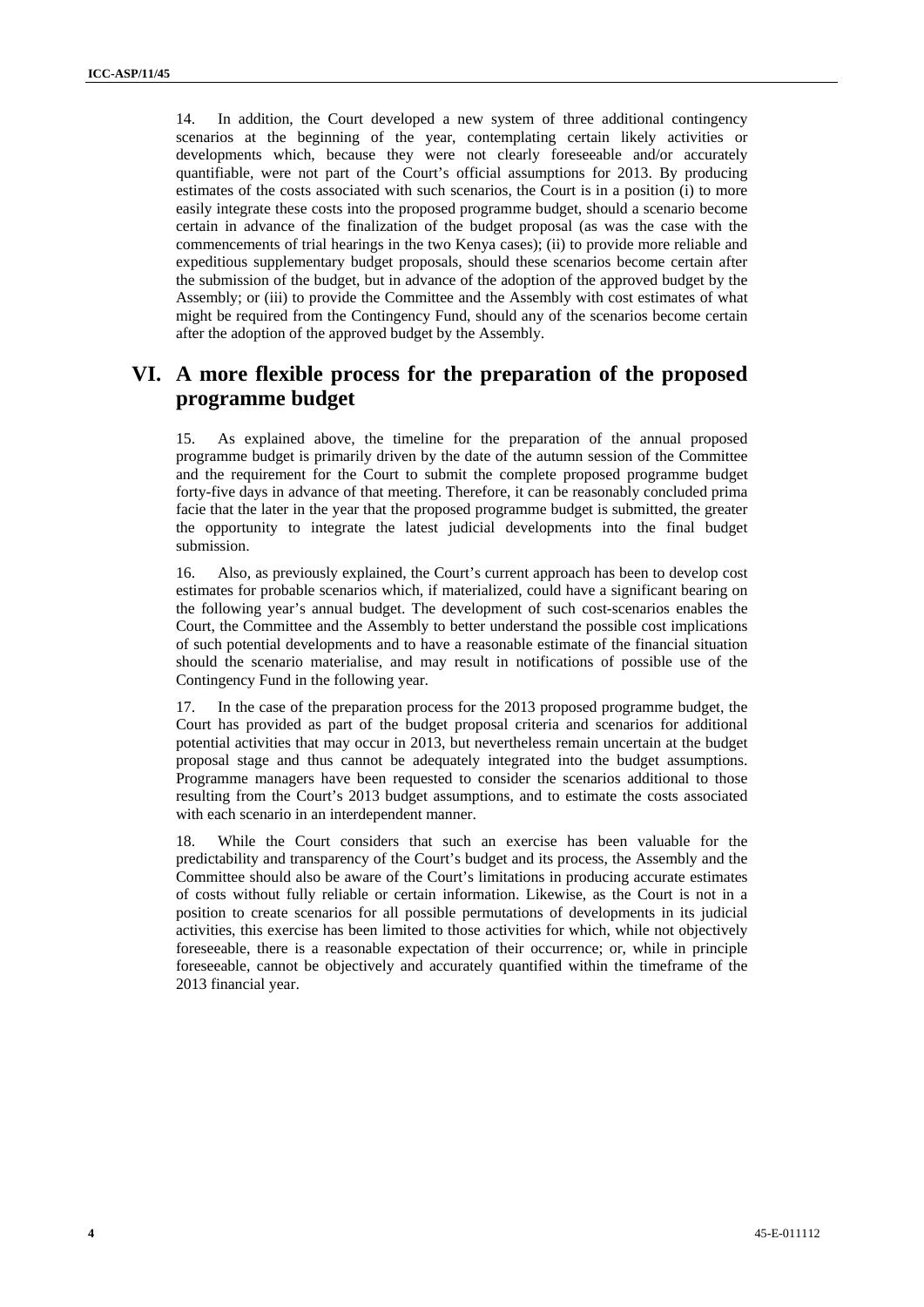14. In addition, the Court developed a new system of three additional contingency scenarios at the beginning of the year, contemplating certain likely activities or developments which, because they were not clearly foreseeable and/or accurately quantifiable, were not part of the Court's official assumptions for 2013. By producing estimates of the costs associated with such scenarios, the Court is in a position (i) to more easily integrate these costs into the proposed programme budget, should a scenario become certain in advance of the finalization of the budget proposal (as was the case with the commencements of trial hearings in the two Kenya cases); (ii) to provide more reliable and expeditious supplementary budget proposals, should these scenarios become certain after the submission of the budget, but in advance of the adoption of the approved budget by the Assembly; or (iii) to provide the Committee and the Assembly with cost estimates of what might be required from the Contingency Fund, should any of the scenarios become certain after the adoption of the approved budget by the Assembly.

# **VI. A more flexible process for the preparation of the proposed programme budget**

15. As explained above, the timeline for the preparation of the annual proposed programme budget is primarily driven by the date of the autumn session of the Committee and the requirement for the Court to submit the complete proposed programme budget forty-five days in advance of that meeting. Therefore, it can be reasonably concluded prima facie that the later in the year that the proposed programme budget is submitted, the greater the opportunity to integrate the latest judicial developments into the final budget submission.

16. Also, as previously explained, the Court's current approach has been to develop cost estimates for probable scenarios which, if materialized, could have a significant bearing on the following year's annual budget. The development of such cost-scenarios enables the Court, the Committee and the Assembly to better understand the possible cost implications of such potential developments and to have a reasonable estimate of the financial situation should the scenario materialise, and may result in notifications of possible use of the Contingency Fund in the following year.

17. In the case of the preparation process for the 2013 proposed programme budget, the Court has provided as part of the budget proposal criteria and scenarios for additional potential activities that may occur in 2013, but nevertheless remain uncertain at the budget proposal stage and thus cannot be adequately integrated into the budget assumptions. Programme managers have been requested to consider the scenarios additional to those resulting from the Court's 2013 budget assumptions, and to estimate the costs associated with each scenario in an interdependent manner.

18. While the Court considers that such an exercise has been valuable for the predictability and transparency of the Court's budget and its process, the Assembly and the Committee should also be aware of the Court's limitations in producing accurate estimates of costs without fully reliable or certain information. Likewise, as the Court is not in a position to create scenarios for all possible permutations of developments in its judicial activities, this exercise has been limited to those activities for which, while not objectively foreseeable, there is a reasonable expectation of their occurrence; or, while in principle foreseeable, cannot be objectively and accurately quantified within the timeframe of the 2013 financial year.